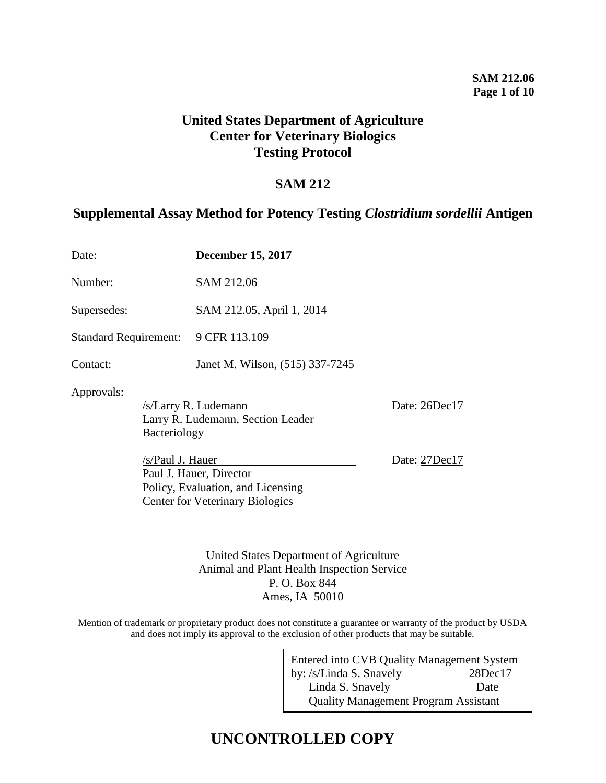## **United States Department of Agriculture Center for Veterinary Biologics Testing Protocol**

## **SAM 212**

## **Supplemental Assay Method for Potency Testing** *Clostridium sordellii* **Antigen**

| Date:                        |                                                                                  | <b>December 15, 2017</b>                                                                               |               |
|------------------------------|----------------------------------------------------------------------------------|--------------------------------------------------------------------------------------------------------|---------------|
| Number:                      |                                                                                  | SAM 212.06                                                                                             |               |
| Supersedes:                  |                                                                                  | SAM 212.05, April 1, 2014                                                                              |               |
| <b>Standard Requirement:</b> |                                                                                  | 9 CFR 113.109                                                                                          |               |
| Contact:                     |                                                                                  | Janet M. Wilson, (515) 337-7245                                                                        |               |
| Approvals:                   | /s/Larry R. Ludemann<br>Larry R. Ludemann, Section Leader<br><b>Bacteriology</b> |                                                                                                        | Date: 26Dec17 |
|                              | /s/Paul J. Hauer                                                                 | Paul J. Hauer, Director<br>Policy, Evaluation, and Licensing<br><b>Center for Veterinary Biologics</b> | Date: 27Dec17 |

United States Department of Agriculture Animal and Plant Health Inspection Service P. O. Box 844 Ames, IA 50010

Mention of trademark or proprietary product does not constitute a guarantee or warranty of the product by USDA and does not imply its approval to the exclusion of other products that may be suitable.

| Entered into CVB Quality Management System  |               |  |  |  |
|---------------------------------------------|---------------|--|--|--|
| by: /s/Linda S. Snavely                     | $28$ Dec $17$ |  |  |  |
| Linda S. Snavely                            | Date          |  |  |  |
| <b>Quality Management Program Assistant</b> |               |  |  |  |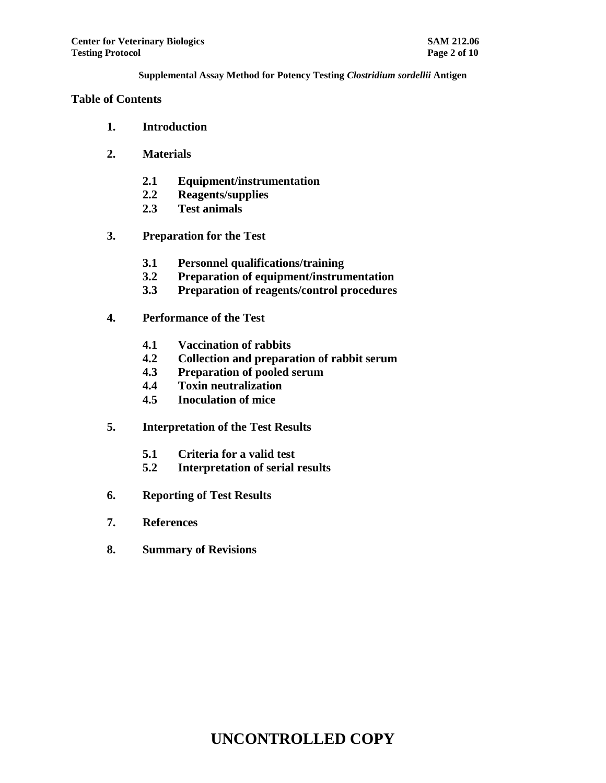## **Table of Contents**

- **1. Introduction**
- **2. Materials**
	- **2.1 Equipment/instrumentation**
	- **2.2 Reagents/supplies**
	- **2.3 Test animals**
- **3. Preparation for the Test**
	- **3.1 Personnel qualifications/training**
	- **3.2 Preparation of equipment/instrumentation**
	- **3.3 Preparation of reagents/control procedures**
- **4. Performance of the Test**
	- **4.1 Vaccination of rabbits**
	- **4.2 Collection and preparation of rabbit serum**
	- **4.3 Preparation of pooled serum**
	- **4.4 Toxin neutralization**
	- **4.5 Inoculation of mice**
- **5. Interpretation of the Test Results**
	- **5.1 Criteria for a valid test**
	- **5.2 Interpretation of serial results**
- **6. Reporting of Test Results**
- **7. References**
- **8. Summary of Revisions**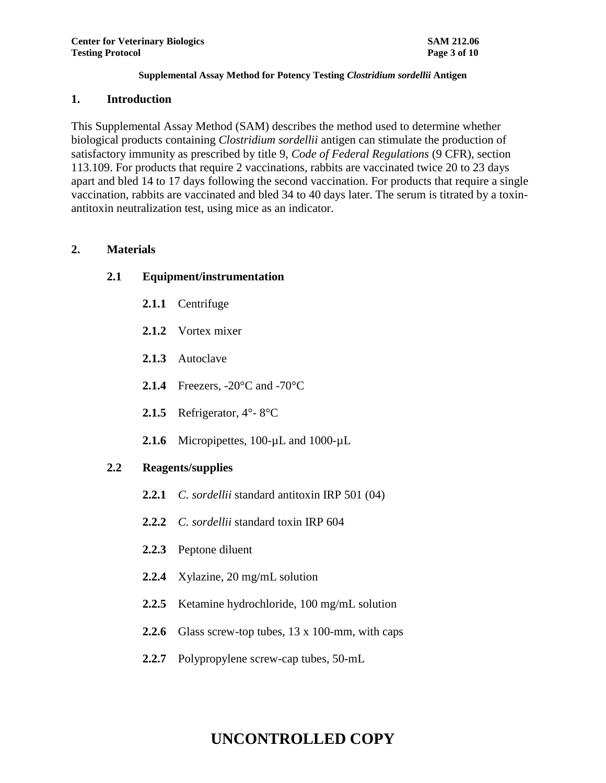#### **1. Introduction**

This Supplemental Assay Method (SAM) describes the method used to determine whether biological products containing *Clostridium sordellii* antigen can stimulate the production of satisfactory immunity as prescribed by title 9, *Code of Federal Regulations* (9 CFR), section 113.109. For products that require 2 vaccinations, rabbits are vaccinated twice 20 to 23 days apart and bled 14 to 17 days following the second vaccination. For products that require a single vaccination, rabbits are vaccinated and bled 34 to 40 days later. The serum is titrated by a toxinantitoxin neutralization test, using mice as an indicator.

## **2. Materials**

## **2.1 Equipment/instrumentation**

- **2.1.1** Centrifuge
- **2.1.2** Vortex mixer
- **2.1.3** Autoclave
- **2.1.4** Freezers, -20°C and -70°C
- **2.1.5** Refrigerator, 4°- 8°C
- **2.1.6** Micropipettes, 100-µL and 1000-µL

## **2.2 Reagents/supplies**

- **2.2.1** *C. sordellii* standard antitoxin IRP 501 (04)
- **2.2.2** *C. sordellii* standard toxin IRP 604
- **2.2.3** Peptone diluent
- **2.2.4** Xylazine, 20 mg/mL solution
- **2.2.5** Ketamine hydrochloride, 100 mg/mL solution
- **2.2.6** Glass screw-top tubes, 13 x 100-mm, with caps
- **2.2.7** Polypropylene screw-cap tubes, 50-mL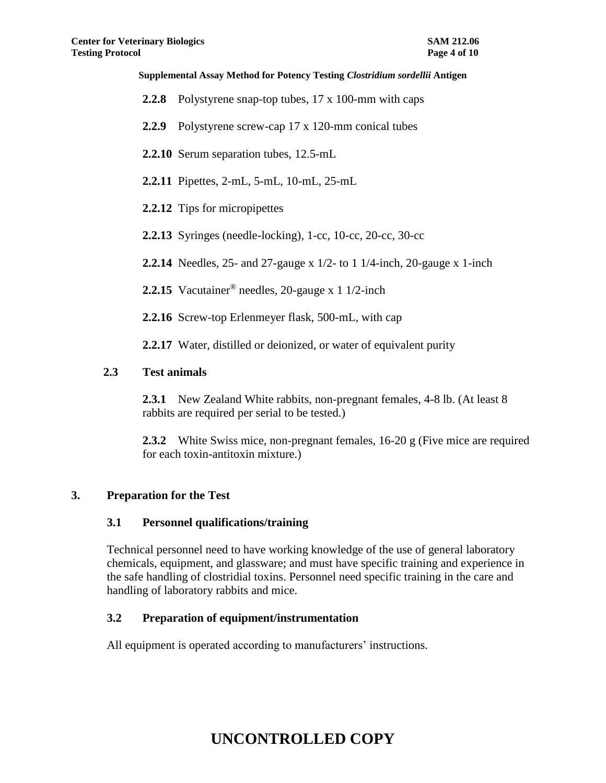- **2.2.8** Polystyrene snap-top tubes, 17 x 100-mm with caps
- **2.2.9** Polystyrene screw-cap 17 x 120-mm conical tubes
- **2.2.10** Serum separation tubes, 12.5-mL
- **2.2.11** Pipettes, 2-mL, 5-mL, 10-mL, 25-mL
- **2.2.12** Tips for micropipettes
- **2.2.13** Syringes (needle-locking), 1-cc, 10-cc, 20-cc, 30-cc
- **2.2.14** Needles, 25- and 27-gauge x 1/2- to 1 1/4-inch, 20-gauge x 1-inch
- **2.2.15** Vacutainer® needles, 20-gauge x 1 1/2-inch
- **2.2.16** Screw-top Erlenmeyer flask, 500-mL, with cap
- **2.2.17** Water, distilled or deionized, or water of equivalent purity

## **2.3 Test animals**

- **2.3.1** New Zealand White rabbits, non-pregnant females, 4-8 lb. (At least 8 rabbits are required per serial to be tested.)
- **2.3.2** White Swiss mice, non-pregnant females, 16-20 g (Five mice are required for each toxin-antitoxin mixture.)

## **3. Preparation for the Test**

## **3.1 Personnel qualifications/training**

Technical personnel need to have working knowledge of the use of general laboratory chemicals, equipment, and glassware; and must have specific training and experience in the safe handling of clostridial toxins. Personnel need specific training in the care and handling of laboratory rabbits and mice.

## **3.2 Preparation of equipment/instrumentation**

All equipment is operated according to manufacturers' instructions.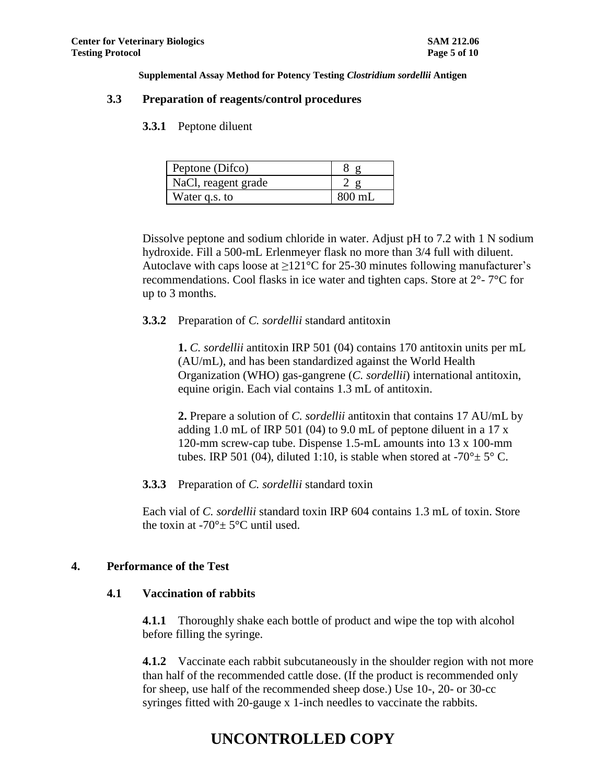#### **3.3 Preparation of reagents/control procedures**

**3.3.1** Peptone diluent

| Peptone (Difco)     |        |
|---------------------|--------|
| NaCl, reagent grade |        |
| Water q.s. to       | 800 mL |

Dissolve peptone and sodium chloride in water. Adjust pH to 7.2 with 1 N sodium hydroxide. Fill a 500-mL Erlenmeyer flask no more than 3/4 full with diluent. Autoclave with caps loose at  $\geq 121^{\circ}$ C for 25-30 minutes following manufacturer's recommendations. Cool flasks in ice water and tighten caps. Store at 2°- 7°C for up to 3 months.

#### **3.3.2** Preparation of *C. sordellii* standard antitoxin

**1.** *C. sordellii* antitoxin IRP 501 (04) contains 170 antitoxin units per mL (AU/mL), and has been standardized against the World Health Organization (WHO) gas-gangrene (*C. sordellii*) international antitoxin, equine origin. Each vial contains 1.3 mL of antitoxin.

**2.** Prepare a solution of *C. sordellii* antitoxin that contains 17 AU/mL by adding 1.0 mL of IRP 501 (04) to 9.0 mL of peptone diluent in a 17 x 120-mm screw-cap tube. Dispense 1.5-mL amounts into 13 x 100-mm tubes. IRP 501 (04), diluted 1:10, is stable when stored at  $-70^{\circ} \pm 5^{\circ}$  C.

**3.3.3** Preparation of *C. sordellii* standard toxin

Each vial of *C. sordellii* standard toxin IRP 604 contains 1.3 mL of toxin. Store the toxin at -70 $\degree$  ± 5 $\degree$ C until used.

#### **4. Performance of the Test**

#### **4.1 Vaccination of rabbits**

**4.1.1** Thoroughly shake each bottle of product and wipe the top with alcohol before filling the syringe.

**4.1.2** Vaccinate each rabbit subcutaneously in the shoulder region with not more than half of the recommended cattle dose. (If the product is recommended only for sheep, use half of the recommended sheep dose.) Use 10-, 20- or 30-cc syringes fitted with 20-gauge x 1-inch needles to vaccinate the rabbits.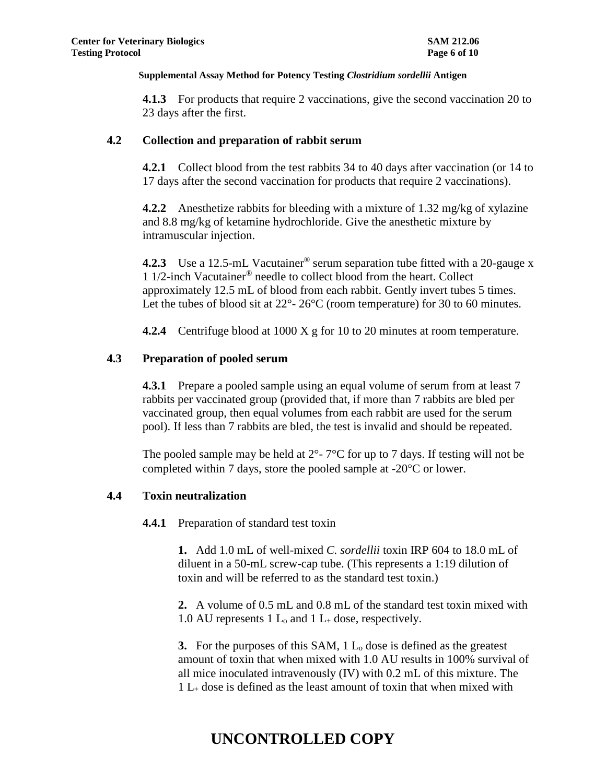**4.1.3** For products that require 2 vaccinations, give the second vaccination 20 to 23 days after the first.

#### **4.2 Collection and preparation of rabbit serum**

**4.2.1** Collect blood from the test rabbits 34 to 40 days after vaccination (or 14 to 17 days after the second vaccination for products that require 2 vaccinations).

**4.2.2** Anesthetize rabbits for bleeding with a mixture of 1.32 mg/kg of xylazine and 8.8 mg/kg of ketamine hydrochloride. Give the anesthetic mixture by intramuscular injection.

**4.2.3** Use a 12.5-mL Vacutainer<sup>®</sup> serum separation tube fitted with a 20-gauge x 1 1/2-inch Vacutainer® needle to collect blood from the heart. Collect approximately 12.5 mL of blood from each rabbit. Gently invert tubes 5 times. Let the tubes of blood sit at 22<sup>o</sup>- 26<sup>o</sup>C (room temperature) for 30 to 60 minutes.

**4.2.4** Centrifuge blood at 1000 X g for 10 to 20 minutes at room temperature.

## **4.3 Preparation of pooled serum**

**4.3.1** Prepare a pooled sample using an equal volume of serum from at least 7 rabbits per vaccinated group (provided that, if more than 7 rabbits are bled per vaccinated group, then equal volumes from each rabbit are used for the serum pool). If less than 7 rabbits are bled, the test is invalid and should be repeated.

The pooled sample may be held at  $2^{\circ}$ -  $7^{\circ}$ C for up to 7 days. If testing will not be completed within 7 days, store the pooled sample at  $-20^{\circ}$ C or lower.

#### **4.4 Toxin neutralization**

**4.4.1** Preparation of standard test toxin

**1.** Add 1.0 mL of well-mixed *C. sordellii* toxin IRP 604 to 18.0 mL of diluent in a 50-mL screw-cap tube. (This represents a 1:19 dilution of toxin and will be referred to as the standard test toxin.)

**2.** A volume of 0.5 mL and 0.8 mL of the standard test toxin mixed with 1.0 AU represents 1  $L_0$  and 1  $L_+$  dose, respectively.

**3.** For the purposes of this SAM, 1 L<sub>o</sub> dose is defined as the greatest amount of toxin that when mixed with 1.0 AU results in 100% survival of all mice inoculated intravenously (IV) with 0.2 mL of this mixture. The  $1 L_{\pm}$  dose is defined as the least amount of toxin that when mixed with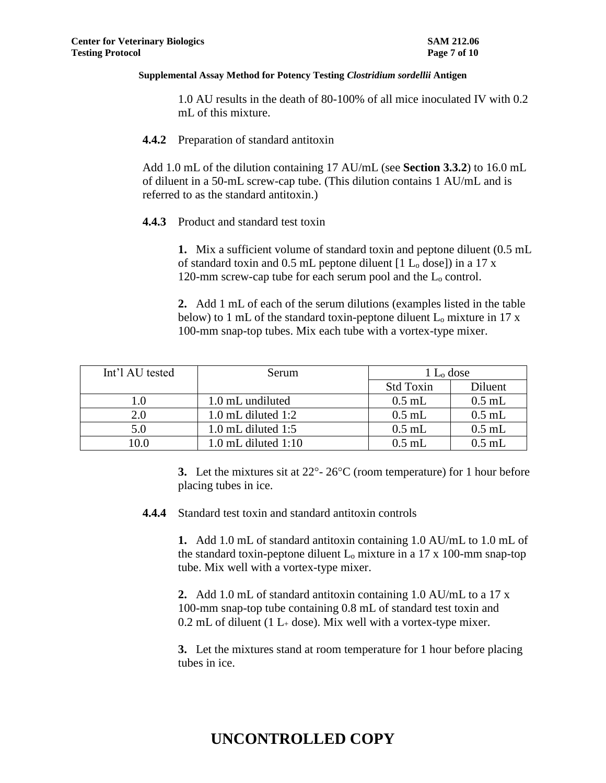1.0 AU results in the death of 80-100% of all mice inoculated IV with 0.2 mL of this mixture.

#### **4.4.2** Preparation of standard antitoxin

Add 1.0 mL of the dilution containing 17 AU/mL (see **Section 3.3.2**) to 16.0 mL of diluent in a 50-mL screw-cap tube. (This dilution contains 1 AU/mL and is referred to as the standard antitoxin.)

#### **4.4.3** Product and standard test toxin

**1.** Mix a sufficient volume of standard toxin and peptone diluent (0.5 mL of standard toxin and  $0.5$  mL peptone diluent [1 L<sub>o</sub> dose]) in a 17 x 120-mm screw-cap tube for each serum pool and the L<sub>o</sub> control.

**2.** Add 1 mL of each of the serum dilutions (examples listed in the table below) to 1 mL of the standard toxin-peptone diluent  $L_0$  mixture in 17 x 100-mm snap-top tubes. Mix each tube with a vortex-type mixer.

| Int'l AU tested | Serum                   | $1 L_0$ dose     |          |
|-----------------|-------------------------|------------------|----------|
|                 |                         | <b>Std Toxin</b> | Diluent  |
| 1.0             | 1.0 mL undiluted        | $0.5$ mL         | $0.5$ mL |
| 2.0             | $1.0$ mL diluted $1:2$  | $0.5$ mL         | $0.5$ mL |
| 5.0             | $1.0$ mL diluted $1:5$  | $0.5$ mL         | $0.5$ mL |
| 10.0            | $1.0$ mL diluted $1:10$ | $0.5$ mL         | $0.5$ mL |

**3.** Let the mixtures sit at  $22^{\circ}$ -  $26^{\circ}$ C (room temperature) for 1 hour before placing tubes in ice.

**4.4.4** Standard test toxin and standard antitoxin controls

**1.** Add 1.0 mL of standard antitoxin containing 1.0 AU/mL to 1.0 mL of the standard toxin-peptone diluent  $L_0$  mixture in a 17 x 100-mm snap-top tube. Mix well with a vortex-type mixer.

**2.** Add 1.0 mL of standard antitoxin containing 1.0 AU/mL to a 17 x 100-mm snap-top tube containing 0.8 mL of standard test toxin and 0.2 mL of diluent (1  $L_{+}$  dose). Mix well with a vortex-type mixer.

**3.** Let the mixtures stand at room temperature for 1 hour before placing tubes in ice.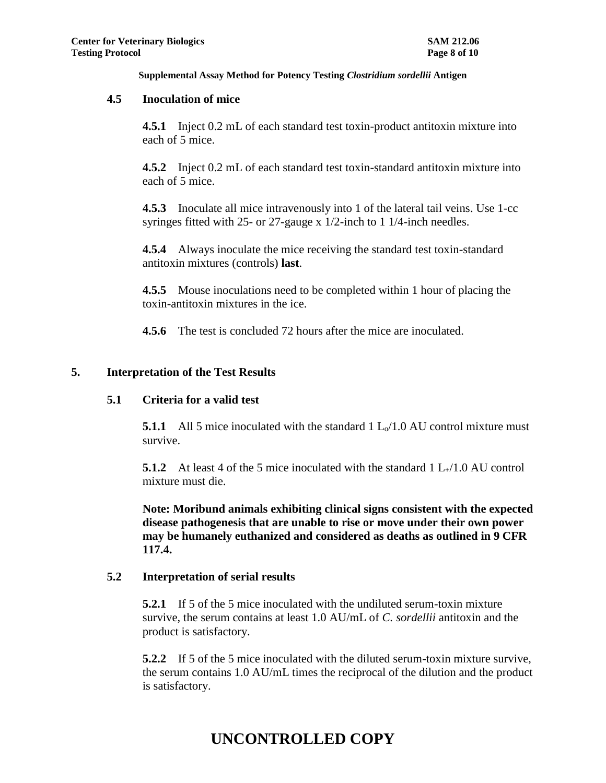## **4.5 Inoculation of mice**

**4.5.1** Inject 0.2 mL of each standard test toxin-product antitoxin mixture into each of 5 mice.

**4.5.2** Inject 0.2 mL of each standard test toxin-standard antitoxin mixture into each of 5 mice.

**4.5.3** Inoculate all mice intravenously into 1 of the lateral tail veins. Use 1-cc syringes fitted with 25- or 27-gauge x 1/2-inch to 1 1/4-inch needles.

**4.5.4** Always inoculate the mice receiving the standard test toxin-standard antitoxin mixtures (controls) **last**.

**4.5.5** Mouse inoculations need to be completed within 1 hour of placing the toxin-antitoxin mixtures in the ice.

**4.5.6** The test is concluded 72 hours after the mice are inoculated.

## **5. Interpretation of the Test Results**

## **5.1 Criteria for a valid test**

**5.1.1** All 5 mice inoculated with the standard  $1 \text{ L}_{\gamma}/1.0 \text{ AU}$  control mixture must survive.

**5.1.2** At least 4 of the 5 mice inoculated with the standard 1 L+/1.0 AU control mixture must die.

**Note: Moribund animals exhibiting clinical signs consistent with the expected disease pathogenesis that are unable to rise or move under their own power may be humanely euthanized and considered as deaths as outlined in 9 CFR 117.4.**

#### **5.2 Interpretation of serial results**

**5.2.1** If 5 of the 5 mice inoculated with the undiluted serum-toxin mixture survive, the serum contains at least 1.0 AU/mL of *C. sordellii* antitoxin and the product is satisfactory.

**5.2.2** If 5 of the 5 mice inoculated with the diluted serum-toxin mixture survive, the serum contains 1.0 AU/mL times the reciprocal of the dilution and the product is satisfactory.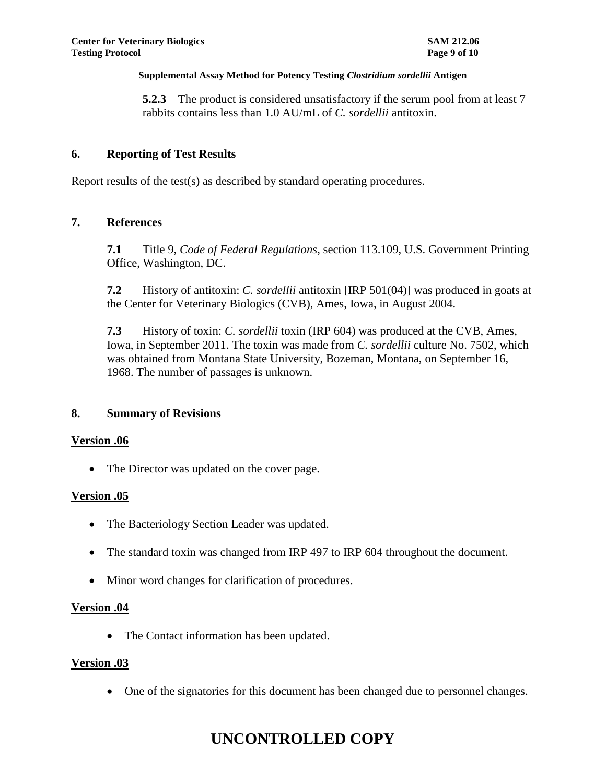**5.2.3** The product is considered unsatisfactory if the serum pool from at least 7 rabbits contains less than 1.0 AU/mL of *C. sordellii* antitoxin.

## **6. Reporting of Test Results**

Report results of the test(s) as described by standard operating procedures.

## **7. References**

**7.1** Title 9, *Code of Federal Regulations*, section 113.109, U.S. Government Printing Office, Washington, DC.

**7.2** History of antitoxin: *C. sordellii* antitoxin [IRP 501(04)] was produced in goats at the Center for Veterinary Biologics (CVB), Ames, Iowa, in August 2004.

**7.3** History of toxin: *C. sordellii* toxin (IRP 604) was produced at the CVB, Ames, Iowa, in September 2011. The toxin was made from *C. sordellii* culture No. 7502, which was obtained from Montana State University, Bozeman, Montana, on September 16, 1968. The number of passages is unknown.

#### **8. Summary of Revisions**

#### **Version .06**

• The Director was updated on the cover page.

## **Version .05**

- The Bacteriology Section Leader was updated.
- The standard toxin was changed from IRP 497 to IRP 604 throughout the document.
- Minor word changes for clarification of procedures.

#### **Version .04**

• The Contact information has been updated.

#### **Version .03**

One of the signatories for this document has been changed due to personnel changes.